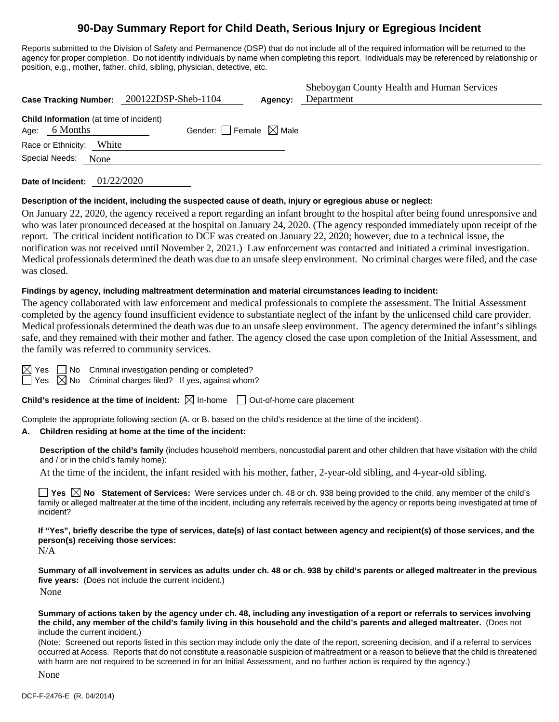# **90-Day Summary Report for Child Death, Serious Injury or Egregious Incident**

Reports submitted to the Division of Safety and Permanence (DSP) that do not include all of the required information will be returned to the agency for proper completion. Do not identify individuals by name when completing this report. Individuals may be referenced by relationship or position, e.g., mother, father, child, sibling, physician, detective, etc.

|                                                                   | Case Tracking Number: 200122DSP-Sheb-1104 | Agency: | Sheboygan County Health and Human Services<br>Department |
|-------------------------------------------------------------------|-------------------------------------------|---------|----------------------------------------------------------|
| <b>Child Information</b> (at time of incident)<br>Age: $6$ Months | Gender: Female $\boxtimes$ Male           |         |                                                          |
| White<br>Race or Ethnicity:                                       |                                           |         |                                                          |
| Special Needs:<br>None                                            |                                           |         |                                                          |
|                                                                   |                                           |         |                                                          |

**Date of Incident:** 01/22/2020

#### **Description of the incident, including the suspected cause of death, injury or egregious abuse or neglect:**

On January 22, 2020, the agency received a report regarding an infant brought to the hospital after being found unresponsive and who was later pronounced deceased at the hospital on January 24, 2020. (The agency responded immediately upon receipt of the report. The critical incident notification to DCF was created on January 22, 2020; however, due to a technical issue, the notification was not received until November 2, 2021.) Law enforcement was contacted and initiated a criminal investigation. Medical professionals determined the death was due to an unsafe sleep environment. No criminal charges were filed, and the case was closed.

#### **Findings by agency, including maltreatment determination and material circumstances leading to incident:**

The agency collaborated with law enforcement and medical professionals to complete the assessment. The Initial Assessment completed by the agency found insufficient evidence to substantiate neglect of the infant by the unlicensed child care provider. Medical professionals determined the death was due to an unsafe sleep environment. The agency determined the infant's siblings safe, and they remained with their mother and father. The agency closed the case upon completion of the Initial Assessment, and the family was referred to community services.

| ÷<br>- |                          |
|--------|--------------------------|
| ÷<br>∽ | $\overline{\phantom{a}}$ |

Yes  $\Box$  No Criminal investigation pending or completed?

Yes  $\boxtimes$  No Criminal charges filed? If yes, against whom?

**Child's residence at the time of incident:**  $\boxtimes$  In-home  $\Box$  Out-of-home care placement

Complete the appropriate following section (A. or B. based on the child's residence at the time of the incident).

### **A. Children residing at home at the time of the incident:**

**Description of the child's family** (includes household members, noncustodial parent and other children that have visitation with the child and / or in the child's family home):

At the time of the incident, the infant resided with his mother, father, 2-year-old sibling, and 4-year-old sibling.

**Yes**  $\boxtimes$  **No** Statement of Services: Were services under ch. 48 or ch. 938 being provided to the child, any member of the child's family or alleged maltreater at the time of the incident, including any referrals received by the agency or reports being investigated at time of incident?

**If "Yes", briefly describe the type of services, date(s) of last contact between agency and recipient(s) of those services, and the person(s) receiving those services:**

N/A

**Summary of all involvement in services as adults under ch. 48 or ch. 938 by child's parents or alleged maltreater in the previous five years:** (Does not include the current incident.) None

**Summary of actions taken by the agency under ch. 48, including any investigation of a report or referrals to services involving the child, any member of the child's family living in this household and the child's parents and alleged maltreater.** (Does not include the current incident.)

(Note: Screened out reports listed in this section may include only the date of the report, screening decision, and if a referral to services occurred at Access. Reports that do not constitute a reasonable suspicion of maltreatment or a reason to believe that the child is threatened with harm are not required to be screened in for an Initial Assessment, and no further action is required by the agency.)

None